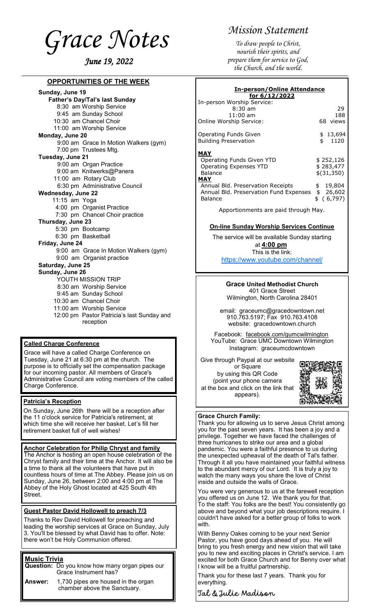<span id="page-0-0"></span>*Grace Notes June 19, 2022* 

## **OPPORTUNITIES OF THE WEEK**

**Sunday, June 19 Father's Day/Tal's last Sunday** 8:30 am Worship Service 9:45 am Sunday School 10:30 am Chancel Choir 11:00 am Worship Service **Monday, June 20** 9:00 am Grace In Motion Walkers (gym) 7:00 pm Trustees Mtg. **Tuesday, June 21** 9:00 am Organ Practice 9:00 am Knitwerks@Panera 11:00 am Rotary Club 6:30 pm Administrative Council **Wednesday, June 22** 11:15 am Yoga 4:00 pm Organist Practice 7:30 pm Chancel Choir practice **Thursday, June 23** 5:30 pm Bootcamp 6:30 pm Basketball **Friday, June 24** 9:00 am Grace In Motion Walkers (gym) 9:00 am Organist practice **Saturday, June 25 Sunday, June 26** YOUTH MISSION TRIP 8:30 am Worship Service 9:45 am Sunday School 10:30 am Chancel Choir 11:00 am Worship Service 12:00 pm Pastor Patricia's last Sunday and reception

#### **Called Charge Conference**

Grace will have a called Charge Conference on Tuesday, June 21 at 6:30 pm at the church. The purpose is to officially set the compensation package for our incoming pastor. All members of Grace's Administrative Council are voting members of the called Charge Conference.

#### **Patricia's Reception**

On Sunday, June 26th there will be a reception after the 11 o'clock service for Patricia's retirement, at which time she will receive her basket. Let's fill her retirement basket full of well wishes!

# **Anchor Celebration for Philip Chryst and family**

The Anchor is hosting an open house celebration of the Chryst family and their time at the Anchor. It will also be a time to thank all the volunteers that have put in countless hours of time at The Abbey. Please join us on Sunday, June 26, between 2:00 and 4:00 pm at The Abbey of the Holy Ghost located at 425 South 4th Street.

#### **Guest Pastor David Hollowell to preach 7/3**

Thanks to Rev David Hollowell for preaching and leading the worship services at Grace on Sunday, July 3. You'll be blessed by what David has to offer. Note: there won't be Holy Communion offered.

## **Music Trivia**

**Question:** Do you know how many organ pipes our Grace Instrument has?

**Answer:** 1,730 pipes are housed in the organ chamber above the Sanctuary.

# *Mission Statement*

*To draw people to Christ, nourish their spirits, and prepare them for service to God, the Church, and the world.*

| <u>In-person/Online Attendance</u><br>for 6/12/2022                                                                                                                           |                                                                                |
|-------------------------------------------------------------------------------------------------------------------------------------------------------------------------------|--------------------------------------------------------------------------------|
| In-person Worship Service:<br>$8:30 \;{\rm am}$<br>$11:00$ am<br>Online Worship Service:                                                                                      | 29<br>188<br>68 views                                                          |
| Operating Funds Given<br><b>Building Preservation</b>                                                                                                                         | \$<br>\$13,694<br>1120                                                         |
| MAY<br>Operating Funds Given YTD<br><b>Operating Expenses YTD</b><br>Balance<br>MAY<br>Annual Bld. Preservation Receipts<br>Annual Bld. Preservation Fund Expenses<br>Balance | \$<br>\$252,126<br>\$283,477<br>\$(31,350)<br>19,804<br>\$26,602<br>\$ (6,797) |
| Apportionments are paid through May.                                                                                                                                          |                                                                                |

#### **On-line Sunday Worship Services Continue**

The service will be available Sunday starting at **4:00 pm** This is the link:

[https://www.youtube.com/channel/](#page-0-0)

## **Grace United Methodist Church**

401 Grace Street Wilmington, North Carolina 28401

email: graceumc@gracedowntown.net 910.763.5197; Fax 910.763.4108 website: gracedowntown.church

Facebook: [facebook.com/gumcwilmington](http://facebook.com/gumcwilmington) YouTube: Grace UMC Downtown Wilmington Instagram: graceumcdowntown

Give through Paypal at our website

or Square by using this QR Code (point your phone camera at the box and click on the link that appears).



#### **Grace Church Family:**

Thank you for allowing us to serve Jesus Christ among you for the past seven years. It has been a joy and a privilege. Together we have faced the challenges of three hurricanes to strike our area and a global pandemic. You were a faithful presence to us during the unexpected upheaval of the death of Tal's father. Through it all you have maintained your faithful witness to the abundant mercy of our Lord. It is truly a joy to watch the many ways you share the love of Christ inside and outside the walls of Grace.

You were very generous to us at the farewell reception you offered us on June 12. We thank you for that. To the staff: You folks are the best! You consistently go above and beyond what your job descriptions require. I couldn't have asked for a better group of folks to work with.

With Benny Oakes coming to be your next Senior Pastor, you have good days ahead of you. He will bring to you fresh energy and new vision that will take you to new and exciting places in Christ's service. I am excited for both Grace Church and for Benny over what I know will be a fruitful partnership.

Thank you for these last 7 years. Thank you for everything.

Tal & Julie Madison